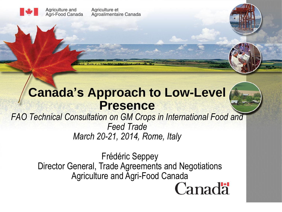Agriculture et Agroalimentaire Canada

Agriculture and

Agri-Food Canada

### **Canada's Approach to Low-Level Presence**



*FAO Technical Consultation on GM Crops in International Food and Feed Trade March 20-21, 2014, Rome, Italy*

> Frédéric Seppey Director General, Trade Agreements and Negotiations Agriculture and Agri-Food CanadaCanadä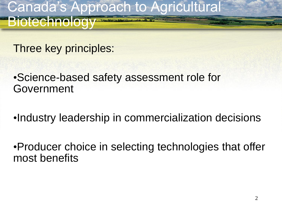Canada's Approach to Agricultural Biotechnology

Three key principles:

•Science-based safety assessment role for Government

•Industry leadership in commercialization decisions

•Producer choice in selecting technologies that offer most benefits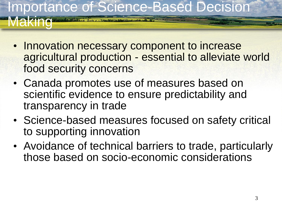## Importance of Science-Based Decision **Making**

- Innovation necessary component to increase agricultural production - essential to alleviate world food security concerns
- Canada promotes use of measures based on scientific evidence to ensure predictability and transparency in trade
- Science-based measures focused on safety critical to supporting innovation
- Avoidance of technical barriers to trade, particularly those based on socio-economic considerations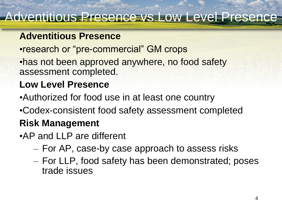#### Adventitious Presence vs Low Level Presence

#### **Adventitious Presence**

- •research or "pre-commercial" GM crops
- •has not been approved anywhere, no food safety assessment completed.

#### **Low Level Presence**

- •Authorized for food use in at least one country
- •Codex-consistent food safety assessment completed

#### **Risk Management**

- •AP and LLP are different
	- For AP, case-by case approach to assess risks
	- For LLP, food safety has been demonstrated; poses trade issues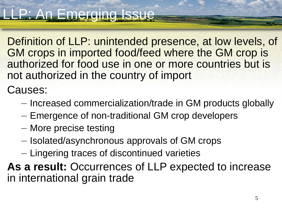Definition of LLP: unintended presence, at low levels, of GM crops in imported food/feed where the GM crop is authorized for food use in one or more countries but is not authorized in the country of import

Causes:

- Increased commercialization/trade in GM products globally
- Emergence of non-traditional GM crop developers
- More precise testing
- Isolated/asynchronous approvals of GM crops
- Lingering traces of discontinued varieties

**As a result:** Occurrences of LLP expected to increase in international grain trade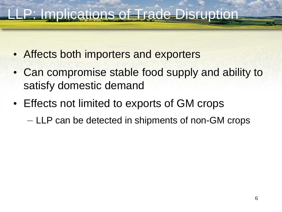## LP: Implications of Trade Disruption

- Affects both importers and exporters
- Can compromise stable food supply and ability to satisfy domestic demand
- Effects not limited to exports of GM crops – LLP can be detected in shipments of non-GM crops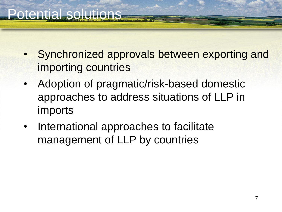- Synchronized approvals between exporting and importing countries
- Adoption of pragmatic/risk-based domestic approaches to address situations of LLP in imports
- International approaches to facilitate management of LLP by countries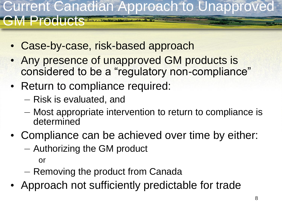### Current Canadian Approach to Unapproved **Producte** Tradition

- Case-by-case, risk-based approach
- Any presence of unapproved GM products is considered to be a "regulatory non-compliance"
- Return to compliance required:
	- Risk is evaluated, and
	- Most appropriate intervention to return to compliance is determined
- Compliance can be achieved over time by either:
	- Authorizing the GM product

or

- Removing the product from Canada
- Approach not sufficiently predictable for trade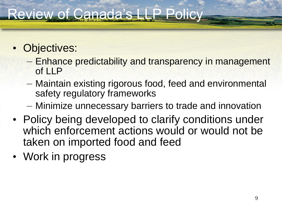## Review of Canada's LLP Policy

- Objectives:
	- Enhance predictability and transparency in management of LLP
	- Maintain existing rigorous food, feed and environmental safety regulatory frameworks
	- Minimize unnecessary barriers to trade and innovation
- Policy being developed to clarify conditions under which enforcement actions would or would not be taken on imported food and feed
- Work in progress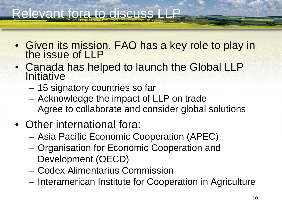## Relevant fora to discuss

- Given its mission, FAO has a key role to play in the issue of LLP
- Canada has helped to launch the Global LLP **Initiative** 
	- 15 signatory countries so far
	- Acknowledge the impact of LLP on trade
	- Agree to collaborate and consider global solutions
- Other international fora:
	- Asia Pacific Economic Cooperation (APEC)
	- Organisation for Economic Cooperation and Development (OECD)
	- Codex Alimentarius Commission
	- Interamerican Institute for Cooperation in Agriculture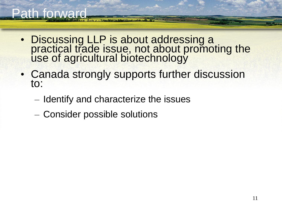## Path forward

- Discussing LLP is about addressing a practical trade issue, not about promoting the use of agricultural biotechnology
- Canada strongly supports further discussion to:
	- Identify and characterize the issues
	- Consider possible solutions